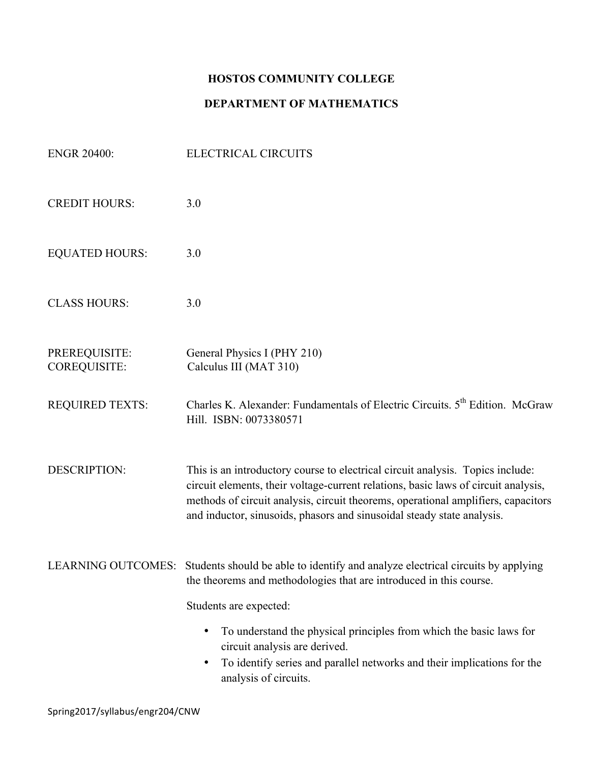## **HOSTOS COMMUNITY COLLEGE**

## **DEPARTMENT OF MATHEMATICS**

| <b>ENGR 20400:</b>                   | <b>ELECTRICAL CIRCUITS</b>                                                                                                                                                                                                                                                                                                          |
|--------------------------------------|-------------------------------------------------------------------------------------------------------------------------------------------------------------------------------------------------------------------------------------------------------------------------------------------------------------------------------------|
| <b>CREDIT HOURS:</b>                 | 3.0                                                                                                                                                                                                                                                                                                                                 |
| <b>EQUATED HOURS:</b>                | 3.0                                                                                                                                                                                                                                                                                                                                 |
| <b>CLASS HOURS:</b>                  | 3.0                                                                                                                                                                                                                                                                                                                                 |
| PREREQUISITE:<br><b>COREQUISITE:</b> | General Physics I (PHY 210)<br>Calculus III (MAT 310)                                                                                                                                                                                                                                                                               |
| <b>REQUIRED TEXTS:</b>               | Charles K. Alexander: Fundamentals of Electric Circuits. 5 <sup>th</sup> Edition. McGraw<br>Hill. ISBN: 0073380571                                                                                                                                                                                                                  |
| <b>DESCRIPTION:</b>                  | This is an introductory course to electrical circuit analysis. Topics include:<br>circuit elements, their voltage-current relations, basic laws of circuit analysis,<br>methods of circuit analysis, circuit theorems, operational amplifiers, capacitors<br>and inductor, sinusoids, phasors and sinusoidal steady state analysis. |
|                                      | LEARNING OUTCOMES: Students should be able to identify and analyze electrical circuits by applying<br>the theorems and methodologies that are introduced in this course.                                                                                                                                                            |
|                                      | Students are expected:                                                                                                                                                                                                                                                                                                              |
|                                      | To understand the physical principles from which the basic laws for<br>circuit analysis are derived.<br>To identify series and parallel networks and their implications for the<br>$\bullet$<br>analysis of circuits.                                                                                                               |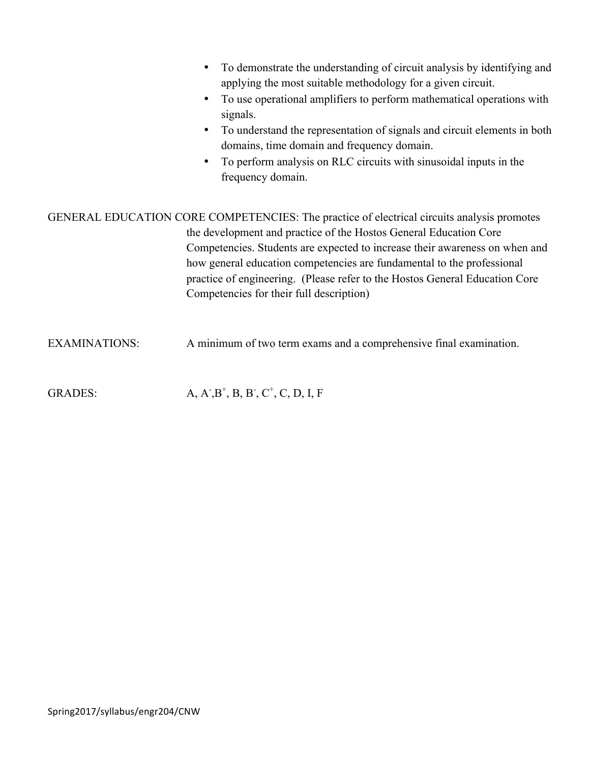|                      | To demonstrate the understanding of circuit analysis by identifying and<br>applying the most suitable methodology for a given circuit.<br>To use operational amplifiers to perform mathematical operations with<br>signals.<br>To understand the representation of signals and circuit elements in both<br>domains, time domain and frequency domain.<br>To perform analysis on RLC circuits with sinusoidal inputs in the<br>frequency domain.     |
|----------------------|-----------------------------------------------------------------------------------------------------------------------------------------------------------------------------------------------------------------------------------------------------------------------------------------------------------------------------------------------------------------------------------------------------------------------------------------------------|
|                      | GENERAL EDUCATION CORE COMPETENCIES: The practice of electrical circuits analysis promotes<br>the development and practice of the Hostos General Education Core<br>Competencies. Students are expected to increase their awareness on when and<br>how general education competencies are fundamental to the professional<br>practice of engineering. (Please refer to the Hostos General Education Core<br>Competencies for their full description) |
| <b>EXAMINATIONS:</b> | A minimum of two term exams and a comprehensive final examination.                                                                                                                                                                                                                                                                                                                                                                                  |
| <b>GRADES:</b>       | $A, A, B^+, B, B, C^+, C, D, I, F$                                                                                                                                                                                                                                                                                                                                                                                                                  |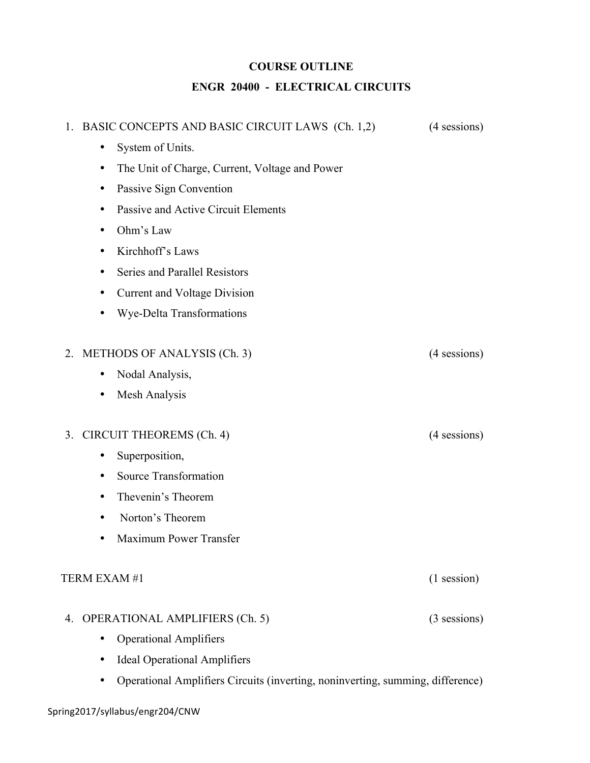## **COURSE OUTLINE ENGR 20400 - ELECTRICAL CIRCUITS**

| 1. | BASIC CONCEPTS AND BASIC CIRCUIT LAWS (Ch. 1,2)     | (4 sessions)  |
|----|-----------------------------------------------------|---------------|
|    | System of Units.<br>$\bullet$                       |               |
|    | The Unit of Charge, Current, Voltage and Power<br>٠ |               |
|    | Passive Sign Convention<br>$\bullet$                |               |
|    | Passive and Active Circuit Elements<br>٠            |               |
|    | Ohm's Law<br>٠                                      |               |
|    | Kirchhoff's Laws<br>$\bullet$                       |               |
|    | Series and Parallel Resistors<br>٠                  |               |
|    | <b>Current and Voltage Division</b><br>٠            |               |
|    | <b>Wye-Delta Transformations</b>                    |               |
|    |                                                     |               |
| 2. | <b>METHODS OF ANALYSIS (Ch. 3)</b>                  | (4 sessions)  |
|    | Nodal Analysis,<br>٠                                |               |
|    | Mesh Analysis                                       |               |
|    |                                                     |               |
| 3. | <b>CIRCUIT THEOREMS (Ch. 4)</b>                     | (4 sessions)  |
|    | Superposition,<br>٠                                 |               |
|    | <b>Source Transformation</b><br>٠                   |               |
|    |                                                     |               |
|    | Thevenin's Theorem<br>$\bullet$                     |               |
|    | Norton's Theorem                                    |               |
|    | <b>Maximum Power Transfer</b><br>٠                  |               |
|    |                                                     |               |
|    | TERM EXAM #1                                        | $(1$ session) |
|    | 4. OPERATIONAL AMPLIFIERS (Ch. 5)                   | (3 sessions)  |
|    | <b>Operational Amplifiers</b>                       |               |
|    | <b>Ideal Operational Amplifiers</b>                 |               |